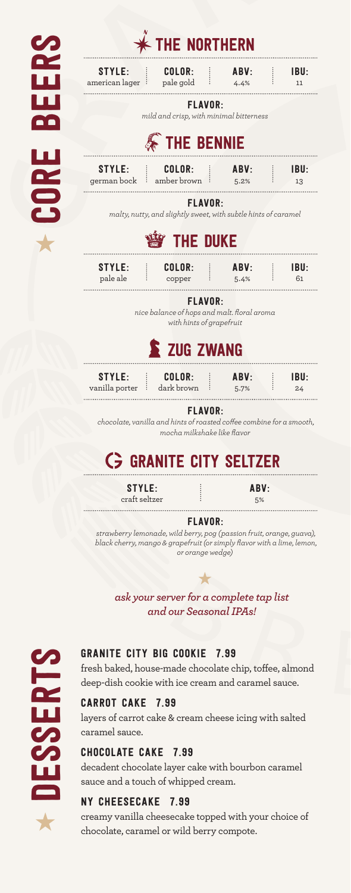| <b>SP</b>  | $*$ THE NORTHERN                                                                                                      |                                                                                                    |  |              |                        |
|------------|-----------------------------------------------------------------------------------------------------------------------|----------------------------------------------------------------------------------------------------|--|--------------|------------------------|
| Œ          | <b>STYLE:</b><br>american lager <sup>:</sup> pale gold                                                                | COLOR:                                                                                             |  | ABV:<br>4.4% | IBU:<br>11             |
|            | <b>FLAVOR:</b><br>mild and crisp, with minimal bitterness<br><b>WE THE BENNIE</b>                                     |                                                                                                    |  |              |                        |
|            |                                                                                                                       |                                                                                                    |  |              |                        |
|            | STYLE: : COLOR:<br>german bock : amber brown :                                                                        |                                                                                                    |  | ABV:<br>5.2% | IBU:<br>13             |
| <b>BOC</b> | <b>FLAVOR:</b><br>malty, nutty, and slightly sweet, with subtle hints of caramel                                      |                                                                                                    |  |              |                        |
|            | <b>THE DUKE</b>                                                                                                       |                                                                                                    |  |              |                        |
|            | <b>STYLE:</b><br>÷<br>pale ale<br>÷                                                                                   | COLOR:<br>copper                                                                                   |  | ABV:<br>5.4% | $\vdots$<br>IBU:<br>61 |
|            | <b>FLAVOR:</b><br>nice balance of hops and malt. floral aroma<br>with hints of grapefruit                             |                                                                                                    |  |              |                        |
|            | E ZUG ZWANG                                                                                                           |                                                                                                    |  |              |                        |
|            | STYLE:<br>vanilla porter : dark brown                                                                                 | $\vdots$ $\blacksquare$ $\blacksquare$ $\blacksquare$ $\blacksquare$ $\blacksquare$ $\blacksquare$ |  | ABV:<br>5.7% | IBU:<br>Ŧ<br>24        |
|            | <b>FLAVOR:</b><br>chocolate, vanilla and hints of roasted coffee combine for a smooth,<br>mocha milkshake like flavor |                                                                                                    |  |              |                        |
|            | <b>C</b> GRANITE CITY SELTZER                                                                                         |                                                                                                    |  |              |                        |
|            | <b>STYLE:</b><br>craft seltzer                                                                                        |                                                                                                    |  | ABV:<br>5%   |                        |

FLAVOR:

*strawberry lemonade, wild berry, pog (passion fruit, orange, guava), black cherry, mango & grapefruit (or simply flavor with a lime, lemon, or orange wedge)*

 $\bigstar$ 

*ask your server for a complete tap list and our Seasonal IPAs!*



# GRANITE CITY BIG COOKIE 7.99

fresh baked, house-made chocolate chip, toffee, almond deep-dish cookie with ice cream and caramel sauce.

## CARROT CAKE 7.99

layers of carrot cake & cream cheese icing with salted caramel sauce.

## CHOCOLATE CAKE 7.99

decadent chocolate layer cake with bourbon caramel sauce and a touch of whipped cream.

## NY CHEESECAKE 7.99

creamy vanilla cheesecake topped with your choice of chocolate, caramel or wild berry compote.